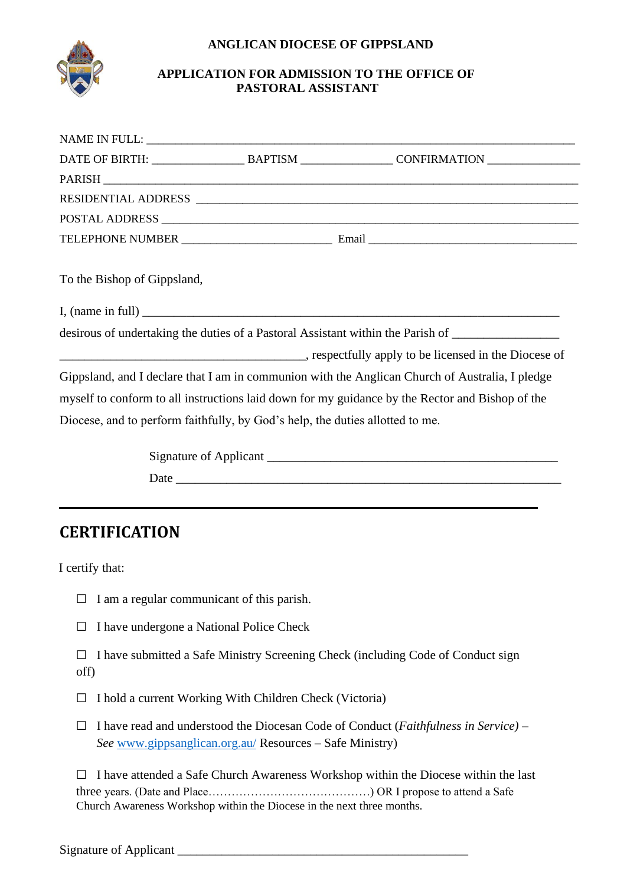## **ANGLICAN DIOCESE OF GIPPSLAND**



## **APPLICATION FOR ADMISSION TO THE OFFICE OF PASTORAL ASSISTANT**

| To the Bishop of Gippsland, |                                                                               |                                                                                                     |
|-----------------------------|-------------------------------------------------------------------------------|-----------------------------------------------------------------------------------------------------|
|                             |                                                                               |                                                                                                     |
|                             |                                                                               | desirous of undertaking the duties of a Pastoral Assistant within the Parish of ___________________ |
|                             |                                                                               |                                                                                                     |
|                             |                                                                               | Gippsland, and I declare that I am in communion with the Anglican Church of Australia, I pledge     |
|                             |                                                                               | myself to conform to all instructions laid down for my guidance by the Rector and Bishop of the     |
|                             | Diocese, and to perform faithfully, by God's help, the duties allotted to me. |                                                                                                     |
|                             |                                                                               |                                                                                                     |
|                             |                                                                               |                                                                                                     |
|                             |                                                                               |                                                                                                     |

## **CERTIFICATION**

I certify that:

- $\Box$  I am a regular communicant of this parish.
- $\Box$  I have undergone a National Police Check
- □ I have submitted a Safe Ministry Screening Check (including Code of Conduct sign off)
- $\Box$  I hold a current Working With Children Check (Victoria)
- □ I have read and understood the Diocesan Code of Conduct (*Faithfulness in Service) – See* [www.gippsanglican.org.au/](http://www.gippsanglican.org.au/) [R](http://www.gippsanglican.org.au/)esources – Safe Ministry)

 $\Box$  I have attended a Safe Church Awareness Workshop within the Diocese within the last three years. (Date and Place……………………………………) OR I propose to attend a Safe Church Awareness Workshop within the Diocese in the next three months.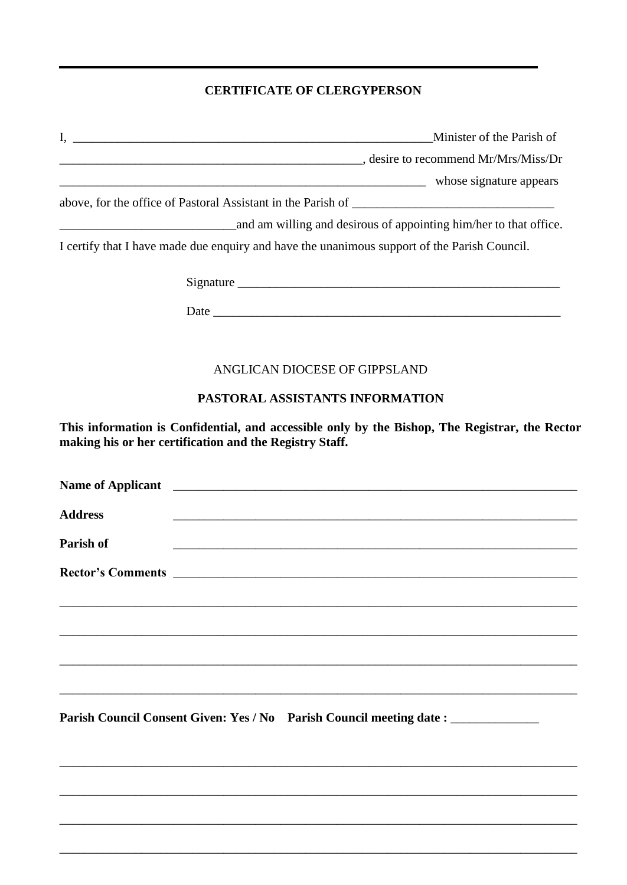## **CERTIFICATE OF CLERGYPERSON**

|                | Minister of the Parish of                                                                                                                                 |
|----------------|-----------------------------------------------------------------------------------------------------------------------------------------------------------|
|                | desire to recommend Mr/Mrs/Miss/Dr                                                                                                                        |
|                | whose signature appears whose signature appears                                                                                                           |
|                |                                                                                                                                                           |
|                | and am willing and desirous of appointing him/her to that office.                                                                                         |
|                | I certify that I have made due enquiry and have the unanimous support of the Parish Council.                                                              |
|                |                                                                                                                                                           |
|                |                                                                                                                                                           |
|                | ANGLICAN DIOCESE OF GIPPSLAND                                                                                                                             |
|                | PASTORAL ASSISTANTS INFORMATION                                                                                                                           |
|                | This information is Confidential, and accessible only by the Bishop, The Registrar, the Rector<br>making his or her certification and the Registry Staff. |
|                |                                                                                                                                                           |
| <b>Address</b> |                                                                                                                                                           |
| Parish of      |                                                                                                                                                           |
|                |                                                                                                                                                           |
|                |                                                                                                                                                           |
|                |                                                                                                                                                           |
|                | Parish Council Consent Given: Yes / No Parish Council meeting date : ___________                                                                          |
|                |                                                                                                                                                           |
|                |                                                                                                                                                           |

\_\_\_\_\_\_\_\_\_\_\_\_\_\_\_\_\_\_\_\_\_\_\_\_\_\_\_\_\_\_\_\_\_\_\_\_\_\_\_\_\_\_\_\_\_\_\_\_\_\_\_\_\_\_\_\_\_\_\_\_\_\_\_\_\_\_\_\_\_\_\_\_\_\_\_\_\_\_\_\_\_\_